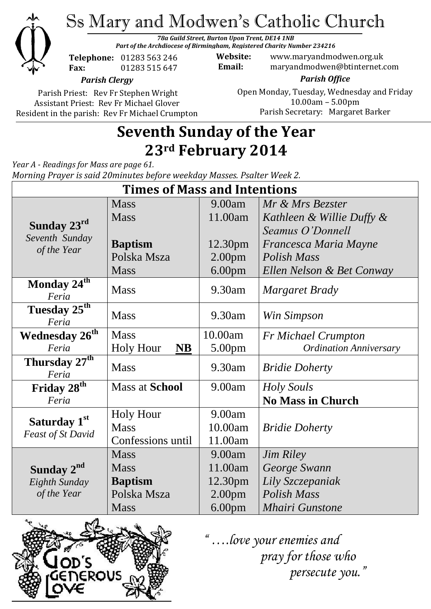

Ss Mary and Modwen's Catholic Church

*78a Guild Street, Burton Upon Trent, DE14 1NB Part of the Archdiocese of Birmingham, Registered Charity Number 234216*

**Telephone:** 01283 563 246 **Fax:** 01283 515 647

**Website:** www.maryandmodwen.org.uk **Email:** maryandmodwen@btinternet.com

*Parish Clergy*

Parish Priest: Rev Fr Stephen Wright Assistant Priest: Rev Fr Michael Glover Resident in the parish: Rev Fr Michael Crumpton

*Parish Office* Open Monday, Tuesday, Wednesday and Friday 10.00am – 5.00pm Parish Secretary:Margaret Barker

# **Seventh Sunday of the Year 23rd February 2014**

*Year A - Readings for Mass are page 61. Morning Prayer is said 20minutes before weekday Masses. Psalter Week 2.*

| <b>Times of Mass and Intentions</b>                    |                               |                    |                               |
|--------------------------------------------------------|-------------------------------|--------------------|-------------------------------|
| Sunday 23rd<br>Seventh Sunday<br>of the Year           | <b>Mass</b>                   | 9.00am             | Mr & Mrs Bezster              |
|                                                        | <b>Mass</b>                   | 11.00am            | Kathleen & Willie Duffy &     |
|                                                        |                               |                    | Seamus O'Donnell              |
|                                                        | <b>Baptism</b>                | 12.30pm            | Francesca Maria Mayne         |
|                                                        | Polska Msza                   | 2.00 <sub>pm</sub> | Polish Mass                   |
|                                                        | <b>Mass</b>                   | 6.00 <sub>pm</sub> | Ellen Nelson & Bet Conway     |
| Monday 24 <sup>th</sup><br>Feria                       | <b>Mass</b>                   | 9.30am             | <b>Margaret Brady</b>         |
| Tuesday 25 <sup>th</sup><br>Feria                      | <b>Mass</b>                   | 9.30am             | Win Simpson                   |
| <b>Wednesday 26th</b>                                  | <b>Mass</b>                   | 10.00am            | <b>Fr Michael Crumpton</b>    |
| Feria                                                  | <b>Holy Hour</b><br><b>NB</b> | 5.00 <sub>pm</sub> | <b>Ordination Anniversary</b> |
| Thursday 27 <sup>th</sup><br>Feria                     | <b>Mass</b>                   | 9.30am             | <b>Bridie Doherty</b>         |
| Friday 28 <sup>th</sup>                                | <b>Mass at School</b>         | 9.00am             | Holy Souls                    |
| Feria                                                  |                               |                    | <b>No Mass in Church</b>      |
| Saturday 1 <sup>st</sup><br><b>Feast of St David</b>   | <b>Holy Hour</b>              | 9.00am             |                               |
|                                                        | <b>Mass</b>                   | 10.00am            | <b>Bridie Doherty</b>         |
|                                                        | Confessions until             | 11.00am            |                               |
| Sunday 2 <sup>nd</sup><br>Eighth Sunday<br>of the Year | <b>Mass</b>                   | 9.00am             | <b>Jim Riley</b>              |
|                                                        | <b>Mass</b>                   | 11.00am            | George Swann                  |
|                                                        | <b>Baptism</b>                | 12.30pm            | Lily Szczepaniak              |
|                                                        | Polska Msza                   | 2.00 <sub>pm</sub> | <b>Polish Mass</b>            |
|                                                        | <b>Mass</b>                   | 6.00 <sub>pm</sub> | <b>Mhairi Gunstone</b>        |



*"Y " ….love your enemies and persecute you."*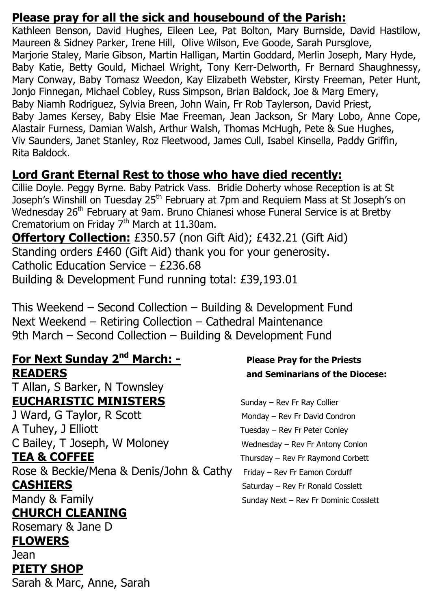### **Please pray for all the sick and housebound of the Parish:**

Kathleen Benson, David Hughes, Eileen Lee, Pat Bolton, Mary Burnside, David Hastilow, Maureen & Sidney Parker, Irene Hill, Olive Wilson, Eve Goode, Sarah Pursglove, Marjorie Staley, Marie Gibson, Martin Halligan, Martin Goddard, Merlin Joseph, Mary Hyde, Baby Katie, Betty Gould, Michael Wright, Tony Kerr-Delworth, Fr Bernard Shaughnessy, Mary Conway, Baby Tomasz Weedon, Kay Elizabeth Webster, Kirsty Freeman, Peter Hunt, Jonjo Finnegan, Michael Cobley, Russ Simpson, Brian Baldock, Joe & Marg Emery, Baby Niamh Rodriguez, Sylvia Breen, John Wain, Fr Rob Taylerson, David Priest, Baby James Kersey, Baby Elsie Mae Freeman, Jean Jackson, Sr Mary Lobo, Anne Cope, Alastair Furness, Damian Walsh, Arthur Walsh, Thomas McHugh, Pete & Sue Hughes, Viv Saunders, Janet Stanley, Roz Fleetwood, James Cull, Isabel Kinsella, Paddy Griffin, Rita Baldock.

### **Lord Grant Eternal Rest to those who have died recently:**

Cillie Doyle. Peggy Byrne. Baby Patrick Vass. Bridie Doherty whose Reception is at St Joseph's Winshill on Tuesday 25th February at 7pm and Requiem Mass at St Joseph's on Wednesday 26<sup>th</sup> February at 9am. Bruno Chianesi whose Funeral Service is at Bretby Crematorium on Friday  $7<sup>th</sup>$  March at 11.30am.

**Offertory Collection:** £350.57 (non Gift Aid); £432.21 (Gift Aid) Standing orders £460 (Gift Aid) thank you for your generosity. Catholic Education Service – £236.68 Building & Development Fund running total: £39,193.01

This Weekend – Second Collection – Building & Development Fund Next Weekend – Retiring Collection – Cathedral Maintenance 9th March – Second Collection – Building & Development Fund

## **For Next Sunday 2nd March: - Please Pray for the Priests READERS and Seminarians of the Diocese:**

T Allan, S Barker, N Townsley **EUCHARISTIC MINISTERS** Sunday – Rev Fr Ray Collier

A Tuhey, J Elliott Tuesday – Rev Fr Peter Conley C Bailey, T Joseph, W Moloney Wednesday – Rev Fr Antony Conlon

Rose & Beckie/Mena & Denis/John & Cathy Friday – Rev Fr Eamon Corduff

**CHURCH CLEANING**

Rosemary & Jane D

### **FLOWERS**

Jean **PIETY SHOP**

Sarah & Marc, Anne, Sarah

J Ward, G Taylor, R Scott Monday – Rev Fr David Condron **TEA & COFFEE** Thursday – Rev Fr Raymond Corbett **CASHIERS** Saturday – Rev Fr Ronald Cosslett Mandy & Family **Sunday Next – Rev Fr Dominic Cosslett**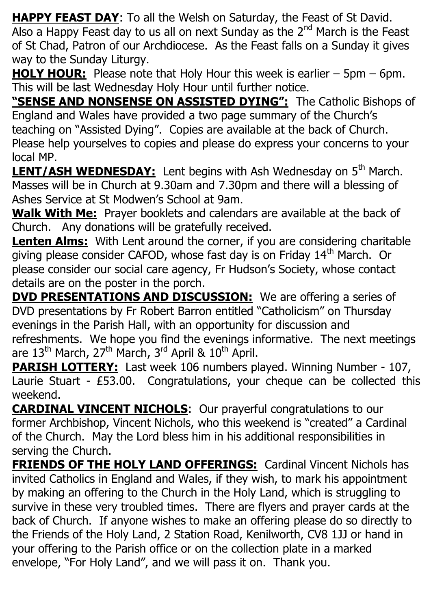**HAPPY FEAST DAY**: To all the Welsh on Saturday, the Feast of St David. Also a Happy Feast day to us all on next Sunday as the  $2<sup>nd</sup>$  March is the Feast of St Chad, Patron of our Archdiocese. As the Feast falls on a Sunday it gives way to the Sunday Liturgy.

**HOLY HOUR:** Please note that Holy Hour this week is earlier – 5pm – 6pm. This will be last Wednesday Holy Hour until further notice.

**"SENSE AND NONSENSE ON ASSISTED DYING":** The Catholic Bishops of England and Wales have provided a two page summary of the Church's teaching on "Assisted Dying". Copies are available at the back of Church. Please help yourselves to copies and please do express your concerns to your local MP.

**LENT/ASH WEDNESDAY:** Lent begins with Ash Wednesday on 5<sup>th</sup> March. Masses will be in Church at 9.30am and 7.30pm and there will a blessing of Ashes Service at St Modwen's School at 9am.

**Walk With Me:** Prayer booklets and calendars are available at the back of Church. Any donations will be gratefully received.

**Lenten Alms:** With Lent around the corner, if you are considering charitable giving please consider CAFOD, whose fast day is on Friday 14<sup>th</sup> March. Or please consider our social care agency, Fr Hudson's Society, whose contact details are on the poster in the porch.

**DVD PRESENTATIONS AND DISCUSSION:** We are offering a series of DVD presentations by Fr Robert Barron entitled "Catholicism" on Thursday evenings in the Parish Hall, with an opportunity for discussion and refreshments. We hope you find the evenings informative. The next meetings are  $13<sup>th</sup>$  March,  $27<sup>th</sup>$  March,  $3<sup>rd</sup>$  April &  $10<sup>th</sup>$  April.

**PARISH LOTTERY:** Last week 106 numbers played. Winning Number - 107, Laurie Stuart - £53.00. Congratulations, your cheque can be collected this weekend.

**CARDINAL VINCENT NICHOLS**: Our prayerful congratulations to our former Archbishop, Vincent Nichols, who this weekend is "created" a Cardinal of the Church. May the Lord bless him in his additional responsibilities in serving the Church.

**FRIENDS OF THE HOLY LAND OFFERINGS:** Cardinal Vincent Nichols has invited Catholics in England and Wales, if they wish, to mark his appointment by making an offering to the Church in the Holy Land, which is struggling to survive in these very troubled times. There are flyers and prayer cards at the back of Church. If anyone wishes to make an offering please do so directly to the Friends of the Holy Land, 2 Station Road, Kenilworth, CV8 1JJ or hand in your offering to the Parish office or on the collection plate in a marked envelope, "For Holy Land", and we will pass it on. Thank you.